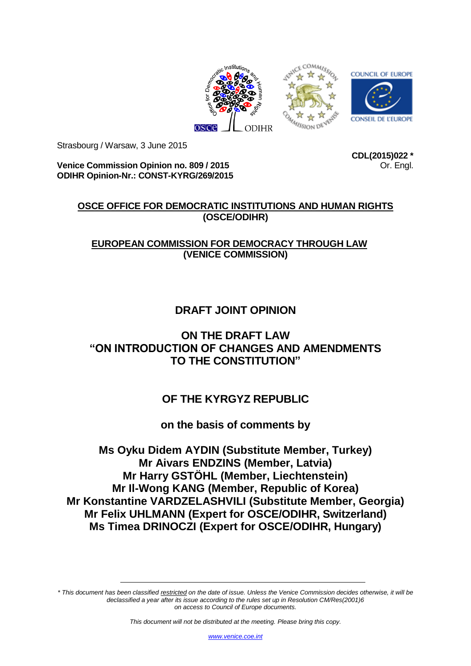



**Venice Commission Opinion no. 809 / 2015 ODIHR Opinion-Nr.: CONST-KYRG/269/2015** **CDL(2015)022 \*** Or. Engl.

## **OSCE OFFICE FOR DEMOCRATIC INSTITUTIONS AND HUMAN RIGHTS (OSCE/ODIHR)**

## **EUROPEAN COMMISSION FOR DEMOCRACY THROUGH LAW (VENICE COMMISSION)**

# **DRAFT JOINT OPINION**

## **ON THE DRAFT LAW "ON INTRODUCTION OF CHANGES AND AMENDMENTS TO THE CONSTITUTION"**

## **OF THE KYRGYZ REPUBLIC**

## **on the basis of comments by**

**Ms Oyku Didem AYDIN (Substitute Member, Turkey) Mr Aivars ENDZINS (Member, Latvia) Mr Harry GSTÖHL (Member, Liechtenstein) Mr Il-Wong KANG (Member, Republic of Korea) Mr Konstantine VARDZELASHVILI (Substitute Member, Georgia) Mr Felix UHLMANN (Expert for OSCE/ODIHR, Switzerland) Ms Timea DRINOCZI (Expert for OSCE/ODIHR, Hungary)**

*\* This document has been classified restricted on the date of issue. Unless the Venice Commission decides otherwise, it will be declassified a year after its issue according to the rules set up in Resolution CM/Res(2001)6 on access to Council of Europe documents.*

*This document will not be distributed at the meeting. Please bring this copy.*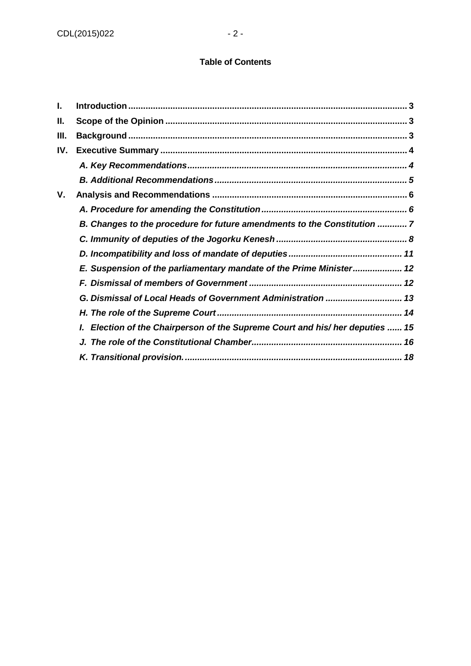### **Table of Contents**

| I.  |                                                                            |
|-----|----------------------------------------------------------------------------|
| Ш.  |                                                                            |
| Ш.  |                                                                            |
| IV. |                                                                            |
|     |                                                                            |
|     |                                                                            |
| ۷.  |                                                                            |
|     |                                                                            |
|     | B. Changes to the procedure for future amendments to the Constitution 7    |
|     |                                                                            |
|     |                                                                            |
|     | E. Suspension of the parliamentary mandate of the Prime Minister 12        |
|     |                                                                            |
|     | G. Dismissal of Local Heads of Government Administration  13               |
|     |                                                                            |
|     | Election of the Chairperson of the Supreme Court and his/ her deputies  15 |
|     |                                                                            |
|     |                                                                            |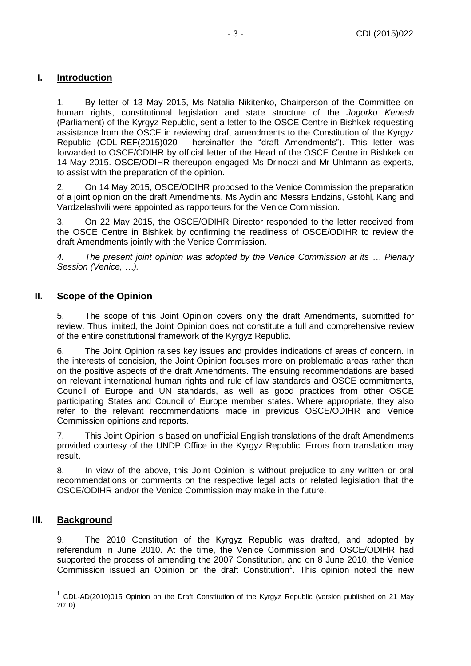## <span id="page-2-0"></span>**I. Introduction**

1. By letter of 13 May 2015, Ms Natalia Nikitenko, Chairperson of the Committee on human rights, constitutional legislation and state structure of the *Jogorku Kenesh* (Parliament) of the Kyrgyz Republic, sent a letter to the OSCE Centre in Bishkek requesting assistance from the OSCE in reviewing draft amendments to the Constitution of the Kyrgyz Republic (CDL-REF(2015)020 - hereinafter the "draft Amendments"). This letter was forwarded to OSCE/ODIHR by official letter of the Head of the OSCE Centre in Bishkek on 14 May 2015. OSCE/ODIHR thereupon engaged Ms Drinoczi and Mr Uhlmann as experts, to assist with the preparation of the opinion.

2. On 14 May 2015, OSCE/ODIHR proposed to the Venice Commission the preparation of a joint opinion on the draft Amendments. Ms Aydin and Messrs Endzins, Gstöhl, Kang and Vardzelashvili were appointed as rapporteurs for the Venice Commission.

3. On 22 May 2015, the OSCE/ODIHR Director responded to the letter received from the OSCE Centre in Bishkek by confirming the readiness of OSCE/ODIHR to review the draft Amendments jointly with the Venice Commission.

*4. The present joint opinion was adopted by the Venice Commission at its … Plenary Session (Venice, …).*

## <span id="page-2-1"></span>**II. Scope of the Opinion**

5. The scope of this Joint Opinion covers only the draft Amendments, submitted for review. Thus limited, the Joint Opinion does not constitute a full and comprehensive review of the entire constitutional framework of the Kyrgyz Republic.

6. The Joint Opinion raises key issues and provides indications of areas of concern. In the interests of concision, the Joint Opinion focuses more on problematic areas rather than on the positive aspects of the draft Amendments. The ensuing recommendations are based on relevant international human rights and rule of law standards and OSCE commitments, Council of Europe and UN standards, as well as good practices from other OSCE participating States and Council of Europe member states. Where appropriate, they also refer to the relevant recommendations made in previous OSCE/ODIHR and Venice Commission opinions and reports.

7. This Joint Opinion is based on unofficial English translations of the draft Amendments provided courtesy of the UNDP Office in the Kyrgyz Republic. Errors from translation may result.

8. In view of the above, this Joint Opinion is without prejudice to any written or oral recommendations or comments on the respective legal acts or related legislation that the OSCE/ODIHR and/or the Venice Commission may make in the future.

## <span id="page-2-2"></span>**III. Background**

-

9. The 2010 Constitution of the Kyrgyz Republic was drafted, and adopted by referendum in June 2010. At the time, the Venice Commission and OSCE/ODIHR had supported the process of amending the 2007 Constitution, and on 8 June 2010, the Venice Commission issued an Opinion on the draft Constitution<sup>1</sup>. This opinion noted the new

 $1$  CDL-AD(2010)015 Opinion on the Draft Constitution of the Kyrgyz Republic (version published on 21 May 2010).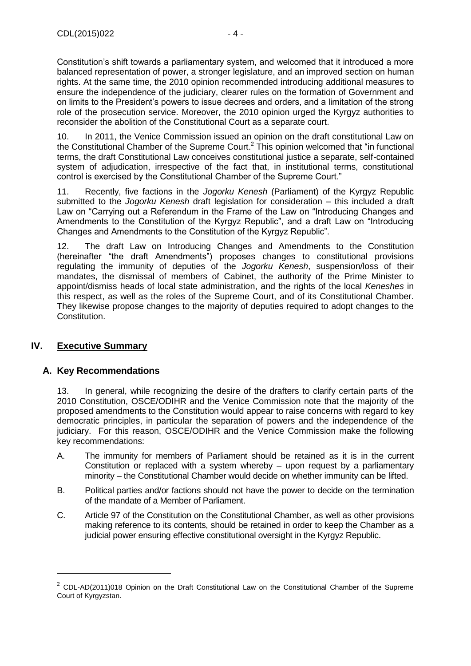Constitution's shift towards a parliamentary system, and welcomed that it introduced a more balanced representation of power, a stronger legislature, and an improved section on human rights. At the same time, the 2010 opinion recommended introducing additional measures to ensure the independence of the judiciary, clearer rules on the formation of Government and on limits to the President's powers to issue decrees and orders, and a limitation of the strong role of the prosecution service. Moreover, the 2010 opinion urged the Kyrgyz authorities to reconsider the abolition of the Constitutional Court as a separate court.

10. In 2011, the Venice Commission issued an opinion on the draft constitutional Law on the Constitutional Chamber of the Supreme Court.<sup>2</sup> This opinion welcomed that "in functional terms, the draft Constitutional Law conceives constitutional justice a separate, self-contained system of adjudication, irrespective of the fact that, in institutional terms, constitutional control is exercised by the Constitutional Chamber of the Supreme Court."

11. Recently, five factions in the *Jogorku Kenesh* (Parliament) of the Kyrgyz Republic submitted to the *Jogorku Kenesh* draft legislation for consideration – this included a draft Law on "Carrying out a Referendum in the Frame of the Law on "Introducing Changes and Amendments to the Constitution of the Kyrgyz Republic", and a draft Law on "Introducing Changes and Amendments to the Constitution of the Kyrgyz Republic".

12. The draft Law on Introducing Changes and Amendments to the Constitution (hereinafter "the draft Amendments") proposes changes to constitutional provisions regulating the immunity of deputies of the *Jogorku Kenesh*, suspension/loss of their mandates, the dismissal of members of Cabinet, the authority of the Prime Minister to appoint/dismiss heads of local state administration, and the rights of the local *Keneshes* in this respect, as well as the roles of the Supreme Court, and of its Constitutional Chamber. They likewise propose changes to the majority of deputies required to adopt changes to the Constitution.

## <span id="page-3-0"></span>**IV. Executive Summary**

-

### <span id="page-3-1"></span>**A. Key Recommendations**

13. In general, while recognizing the desire of the drafters to clarify certain parts of the 2010 Constitution, OSCE/ODIHR and the Venice Commission note that the majority of the proposed amendments to the Constitution would appear to raise concerns with regard to key democratic principles, in particular the separation of powers and the independence of the judiciary. For this reason, OSCE/ODIHR and the Venice Commission make the following key recommendations:

- A. The immunity for members of Parliament should be retained as it is in the current Constitution or replaced with a system whereby – upon request by a parliamentary minority – the Constitutional Chamber would decide on whether immunity can be lifted.
- B. Political parties and/or factions should not have the power to decide on the termination of the mandate of a Member of Parliament.
- C. Article 97 of the Constitution on the Constitutional Chamber, as well as other provisions making reference to its contents, should be retained in order to keep the Chamber as a judicial power ensuring effective constitutional oversight in the Kyrgyz Republic.

 $2$  CDL-AD(2011)018 Opinion on the Draft Constitutional Law on the Constitutional Chamber of the Supreme Court of Kyrgyzstan.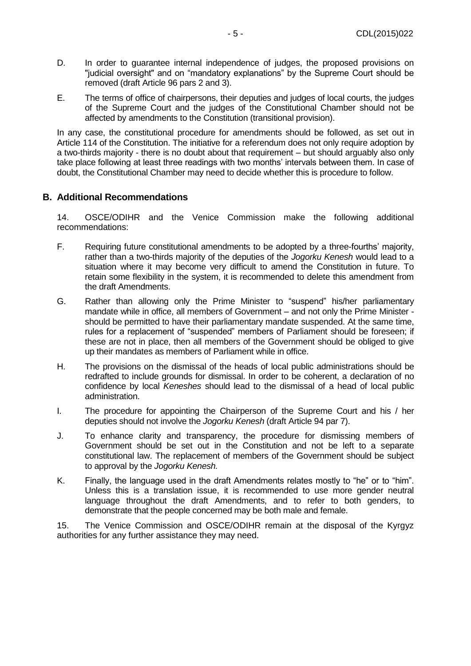- D. In order to guarantee internal independence of judges, the proposed provisions on "judicial oversight" and on "mandatory explanations" by the Supreme Court should be removed (draft Article 96 pars 2 and 3).
- E. The terms of office of chairpersons, their deputies and judges of local courts, the judges of the Supreme Court and the judges of the Constitutional Chamber should not be affected by amendments to the Constitution (transitional provision).

In any case, the constitutional procedure for amendments should be followed, as set out in Article 114 of the Constitution. The initiative for a referendum does not only require adoption by a two-thirds majority - there is no doubt about that requirement – but should arguably also only take place following at least three readings with two months' intervals between them. In case of doubt, the Constitutional Chamber may need to decide whether this is procedure to follow.

#### <span id="page-4-0"></span>**B. Additional Recommendations**

14. OSCE/ODIHR and the Venice Commission make the following additional recommendations:

- F. Requiring future constitutional amendments to be adopted by a three-fourths' majority, rather than a two-thirds majority of the deputies of the *Jogorku Kenesh* would lead to a situation where it may become very difficult to amend the Constitution in future. To retain some flexibility in the system, it is recommended to delete this amendment from the draft Amendments.
- G. Rather than allowing only the Prime Minister to "suspend" his/her parliamentary mandate while in office, all members of Government – and not only the Prime Minister should be permitted to have their parliamentary mandate suspended. At the same time, rules for a replacement of "suspended" members of Parliament should be foreseen; if these are not in place, then all members of the Government should be obliged to give up their mandates as members of Parliament while in office.
- H. The provisions on the dismissal of the heads of local public administrations should be redrafted to include grounds for dismissal. In order to be coherent, a declaration of no confidence by local *Keneshes* should lead to the dismissal of a head of local public administration.
- I. The procedure for appointing the Chairperson of the Supreme Court and his / her deputies should not involve the *Jogorku Kenesh* (draft Article 94 par 7).
- J. To enhance clarity and transparency, the procedure for dismissing members of Government should be set out in the Constitution and not be left to a separate constitutional law. The replacement of members of the Government should be subject to approval by the *Jogorku Kenesh.*
- K. Finally, the language used in the draft Amendments relates mostly to "he" or to "him". Unless this is a translation issue, it is recommended to use more gender neutral language throughout the draft Amendments, and to refer to both genders, to demonstrate that the people concerned may be both male and female.

15. The Venice Commission and OSCE/ODIHR remain at the disposal of the Kyrgyz authorities for any further assistance they may need.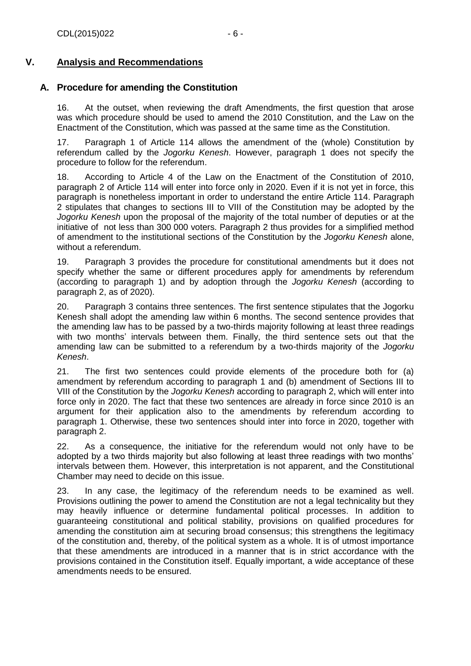## **V. Analysis and Recommendations**

## <span id="page-5-1"></span><span id="page-5-0"></span>**A. Procedure for amending the Constitution**

16. At the outset, when reviewing the draft Amendments, the first question that arose was which procedure should be used to amend the 2010 Constitution, and the Law on the Enactment of the Constitution, which was passed at the same time as the Constitution.

17. Paragraph 1 of Article 114 allows the amendment of the (whole) Constitution by referendum called by the *Jogorku Kenesh*. However, paragraph 1 does not specify the procedure to follow for the referendum.

18. According to Article 4 of the Law on the Enactment of the Constitution of 2010, paragraph 2 of Article 114 will enter into force only in 2020. Even if it is not yet in force, this paragraph is nonetheless important in order to understand the entire Article 114. Paragraph 2 stipulates that changes to sections III to VIII of the Constitution may be adopted by the *Jogorku Kenesh* upon the proposal of the majority of the total number of deputies or at the initiative of not less than 300 000 voters. Paragraph 2 thus provides for a simplified method of amendment to the institutional sections of the Constitution by the *Jogorku Kenesh* alone, without a referendum.

19. Paragraph 3 provides the procedure for constitutional amendments but it does not specify whether the same or different procedures apply for amendments by referendum (according to paragraph 1) and by adoption through the *Jogorku Kenesh* (according to paragraph 2, as of 2020).

20. Paragraph 3 contains three sentences. The first sentence stipulates that the Jogorku Kenesh shall adopt the amending law within 6 months. The second sentence provides that the amending law has to be passed by a two-thirds majority following at least three readings with two months' intervals between them. Finally, the third sentence sets out that the amending law can be submitted to a referendum by a two-thirds majority of the *Jogorku Kenesh*.

21. The first two sentences could provide elements of the procedure both for (a) amendment by referendum according to paragraph 1 and (b) amendment of Sections III to VIII of the Constitution by the *Jogorku Kenesh* according to paragraph 2, which will enter into force only in 2020. The fact that these two sentences are already in force since 2010 is an argument for their application also to the amendments by referendum according to paragraph 1. Otherwise, these two sentences should inter into force in 2020, together with paragraph 2.

22. As a consequence, the initiative for the referendum would not only have to be adopted by a two thirds majority but also following at least three readings with two months' intervals between them. However, this interpretation is not apparent, and the Constitutional Chamber may need to decide on this issue.

23. In any case, the legitimacy of the referendum needs to be examined as well. Provisions outlining the power to amend the Constitution are not a legal technicality but they may heavily influence or determine fundamental political processes. In addition to guaranteeing constitutional and political stability, provisions on qualified procedures for amending the constitution aim at securing broad consensus; this strengthens the legitimacy of the constitution and, thereby, of the political system as a whole. It is of utmost importance that these amendments are introduced in a manner that is in strict accordance with the provisions contained in the Constitution itself. Equally important, a wide acceptance of these amendments needs to be ensured.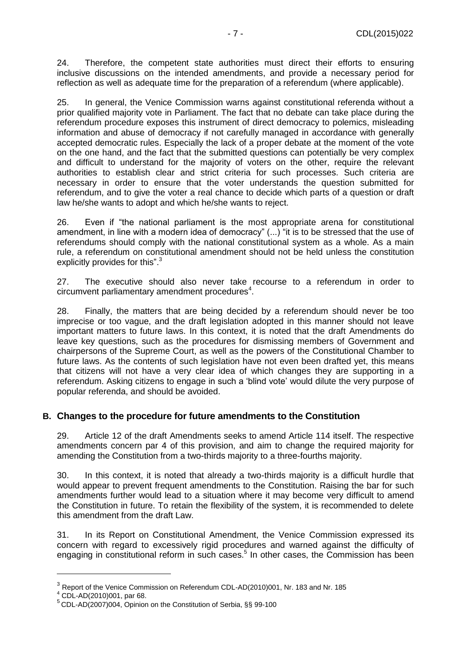24. Therefore, the competent state authorities must direct their efforts to ensuring inclusive discussions on the intended amendments, and provide a necessary period for reflection as well as adequate time for the preparation of a referendum (where applicable).

25. In general, the Venice Commission warns against constitutional referenda without a prior qualified majority vote in Parliament. The fact that no debate can take place during the referendum procedure exposes this instrument of direct democracy to polemics, misleading information and abuse of democracy if not carefully managed in accordance with generally accepted democratic rules. Especially the lack of a proper debate at the moment of the vote on the one hand, and the fact that the submitted questions can potentially be very complex and difficult to understand for the majority of voters on the other, require the relevant authorities to establish clear and strict criteria for such processes. Such criteria are necessary in order to ensure that the voter understands the question submitted for referendum, and to give the voter a real chance to decide which parts of a question or draft law he/she wants to adopt and which he/she wants to reject.

26. Even if "the national parliament is the most appropriate arena for constitutional amendment, in line with a modern idea of democracy" (...) "it is to be stressed that the use of referendums should comply with the national constitutional system as a whole. As a main rule, a referendum on constitutional amendment should not be held unless the constitution explicitly provides for this".<sup>3</sup>

27. The executive should also never take recourse to a referendum in order to  $circ$ umvent parliamentary amendment procedures $4$ .

28. Finally, the matters that are being decided by a referendum should never be too imprecise or too vague, and the draft legislation adopted in this manner should not leave important matters to future laws. In this context, it is noted that the draft Amendments do leave key questions, such as the procedures for dismissing members of Government and chairpersons of the Supreme Court, as well as the powers of the Constitutional Chamber to future laws. As the contents of such legislation have not even been drafted yet, this means that citizens will not have a very clear idea of which changes they are supporting in a referendum. Asking citizens to engage in such a 'blind vote' would dilute the very purpose of popular referenda, and should be avoided.

### <span id="page-6-0"></span>**B. Changes to the procedure for future amendments to the Constitution**

29. Article 12 of the draft Amendments seeks to amend Article 114 itself. The respective amendments concern par 4 of this provision, and aim to change the required majority for amending the Constitution from a two-thirds majority to a three-fourths majority.

30. In this context, it is noted that already a two-thirds majority is a difficult hurdle that would appear to prevent frequent amendments to the Constitution. Raising the bar for such amendments further would lead to a situation where it may become very difficult to amend the Constitution in future. To retain the flexibility of the system, it is recommended to delete this amendment from the draft Law.

31. In its Report on Constitutional Amendment, the Venice Commission expressed its concern with regard to excessively rigid procedures and warned against the difficulty of engaging in constitutional reform in such cases.<sup>5</sup> In other cases, the Commission has been

 $^3$  Report of the Venice Commission on Referendum CDL-AD(2010)001, Nr. 183 and Nr. 185

 $4$  CDL-AD(2010)001, par 68.

<sup>5</sup> CDL-AD(2007)004, Opinion on the Constitution of Serbia, §§ 99-100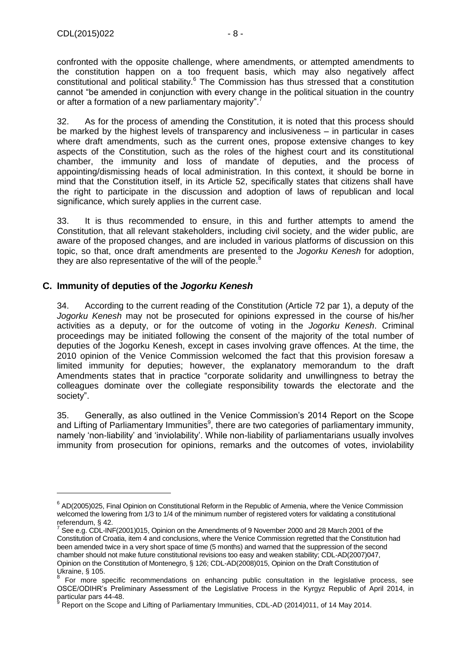-

confronted with the opposite challenge, where amendments, or attempted amendments to the constitution happen on a too frequent basis, which may also negatively affect constitutional and political stability. $6$  The Commission has thus stressed that a constitution cannot "be amended in conjunction with every change in the political situation in the country or after a formation of a new parliamentary majority".<sup>7</sup>

32. As for the process of amending the Constitution, it is noted that this process should be marked by the highest levels of transparency and inclusiveness – in particular in cases where draft amendments, such as the current ones, propose extensive changes to key aspects of the Constitution, such as the roles of the highest court and its constitutional chamber, the immunity and loss of mandate of deputies, and the process of appointing/dismissing heads of local administration. In this context, it should be borne in mind that the Constitution itself, in its Article 52, specifically states that citizens shall have the right to participate in the discussion and adoption of laws of republican and local significance, which surely applies in the current case.

33. It is thus recommended to ensure, in this and further attempts to amend the Constitution, that all relevant stakeholders, including civil society, and the wider public, are aware of the proposed changes, and are included in various platforms of discussion on this topic, so that, once draft amendments are presented to the *Jogorku Kenesh* for adoption, they are also representative of the will of the people. $8$ 

#### <span id="page-7-0"></span>**C. Immunity of deputies of the** *Jogorku Kenesh*

34. According to the current reading of the Constitution (Article 72 par 1), a deputy of the *Jogorku Kenesh* may not be prosecuted for opinions expressed in the course of his/her activities as a deputy, or for the outcome of voting in the *Jogorku Kenesh*. Criminal proceedings may be initiated following the consent of the majority of the total number of deputies of the Jogorku Kenesh, except in cases involving grave offences. At the time, the 2010 opinion of the Venice Commission welcomed the fact that this provision foresaw a limited immunity for deputies; however, the explanatory memorandum to the draft Amendments states that in practice "corporate solidarity and unwillingness to betray the colleagues dominate over the collegiate responsibility towards the electorate and the society".

35. Generally, as also outlined in the Venice Commission's 2014 Report on the Scope and Lifting of Parliamentary Immunities<sup>9</sup>, there are two categories of parliamentary immunity, namely 'non-liability' and 'inviolability'. While non-liability of parliamentarians usually involves immunity from prosecution for opinions, remarks and the outcomes of votes, inviolability

<sup>&</sup>lt;sup>6</sup> AD(2005)025, Final Opinion on Constitutional Reform in the Republic of Armenia, where the Venice Commission welcomed the lowering from 1/3 to 1/4 of the minimum number of registered voters for validating a constitutional referendum, § 42.

See e.g. CDL-INF(2001)015, Opinion on the Amendments of 9 November 2000 and 28 March 2001 of the Constitution of Croatia, item 4 and conclusions, where the Venice Commission regretted that the Constitution had been amended twice in a very short space of time (5 months) and warned that the suppression of the second chamber should not make future constitutional revisions too easy and weaken stability; CDL-AD(2007)047, Opinion on the Constitution of Montenegro, § 126; CDL-AD(2008)015, Opinion on the Draft Constitution of Ukraine, § 105.

For more specific recommendations on enhancing public consultation in the legislative process, see OSCE/ODIHR's Preliminary Assessment of the Legislative Process in the Kyrgyz Republic of April 2014, in particular pars 44-48.

<sup>9</sup> Report on the Scope and Lifting of Parliamentary Immunities, CDL-AD (2014)011, of 14 May 2014.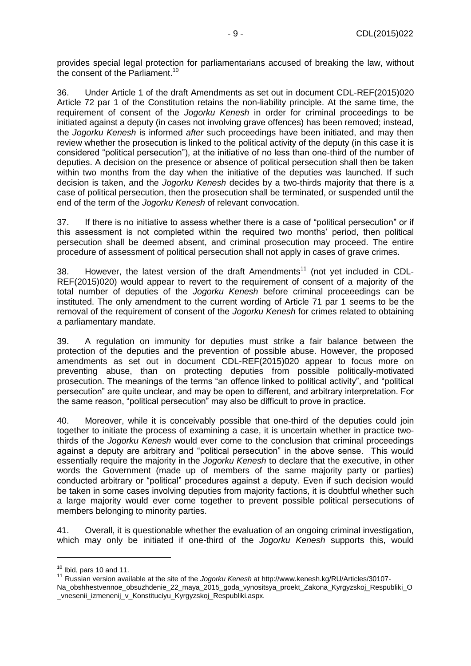provides special legal protection for parliamentarians accused of breaking the law, without the consent of the Parliament.<sup>10</sup>

36. Under Article 1 of the draft Amendments as set out in document CDL-REF(2015)020 Article 72 par 1 of the Constitution retains the non-liability principle. At the same time, the requirement of consent of the *Jogorku Kenesh* in order for criminal proceedings to be initiated against a deputy (in cases not involving grave offences) has been removed; instead, the *Jogorku Kenesh* is informed *after* such proceedings have been initiated, and may then review whether the prosecution is linked to the political activity of the deputy (in this case it is considered "political persecution"), at the initiative of no less than one-third of the number of deputies. A decision on the presence or absence of political persecution shall then be taken within two months from the day when the initiative of the deputies was launched. If such decision is taken, and the *Jogorku Kenesh* decides by a two-thirds majority that there is a case of political persecution, then the prosecution shall be terminated, or suspended until the end of the term of the *Jogorku Kenesh* of relevant convocation.

37. If there is no initiative to assess whether there is a case of "political persecution" or if this assessment is not completed within the required two months' period, then political persecution shall be deemed absent, and criminal prosecution may proceed. The entire procedure of assessment of political persecution shall not apply in cases of grave crimes.

38. However, the latest version of the draft Amendments<sup>11</sup> (not yet included in CDL-REF(2015)020) would appear to revert to the requirement of consent of a majority of the total number of deputies of the *Jogorku Kenesh* before criminal proceeedings can be instituted. The only amendment to the current wording of Article 71 par 1 seems to be the removal of the requirement of consent of the *Jogorku Kenesh* for crimes related to obtaining a parliamentary mandate.

39. A regulation on immunity for deputies must strike a fair balance between the protection of the deputies and the prevention of possible abuse. However, the proposed amendments as set out in document CDL-REF(2015)020 appear to focus more on preventing abuse, than on protecting deputies from possible politically-motivated prosecution. The meanings of the terms "an offence linked to political activity", and "political persecution" are quite unclear, and may be open to different, and arbitrary interpretation. For the same reason, "political persecution" may also be difficult to prove in practice.

40. Moreover, while it is conceivably possible that one-third of the deputies could join together to initiate the process of examining a case, it is uncertain whether in practice twothirds of the *Jogorku Kenesh* would ever come to the conclusion that criminal proceedings against a deputy are arbitrary and "political persecution" in the above sense. This would essentially require the majority in the *Jogorku Kenesh* to declare that the executive, in other words the Government (made up of members of the same majority party or parties) conducted arbitrary or "political" procedures against a deputy. Even if such decision would be taken in some cases involving deputies from majority factions, it is doubtful whether such a large majority would ever come together to prevent possible political persecutions of members belonging to minority parties.

41. Overall, it is questionable whether the evaluation of an ongoing criminal investigation, which may only be initiated if one-third of the *Jogorku Kenesh* supports this, would

 $10$  Ibid, pars 10 and 11.

<sup>11</sup> Russian version available at the site of the *Jogorku Kenesh* at http://www.kenesh.kg/RU/Articles/30107- Na\_obshhestvennoe\_obsuzhdenie\_22\_maya\_2015\_goda\_vynositsya\_proekt\_Zakona\_Kyrgyzskoj\_Respubliki\_O \_vnesenii\_izmenenij\_v\_Konstituciyu\_Kyrgyzskoj\_Respubliki.aspx.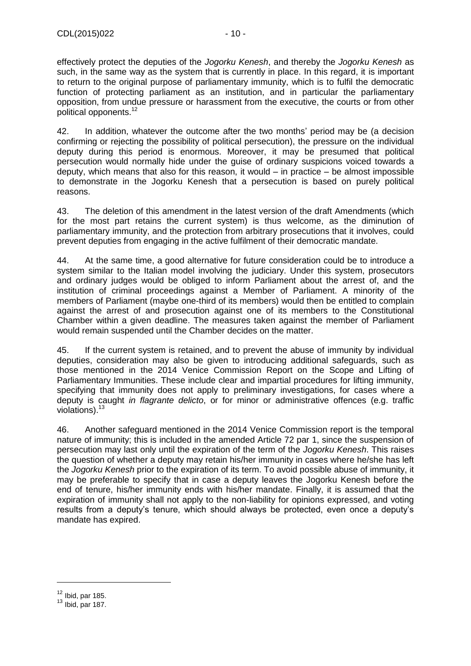effectively protect the deputies of the *Jogorku Kenesh*, and thereby the *Jogorku Kenesh* as such, in the same way as the system that is currently in place. In this regard, it is important to return to the original purpose of parliamentary immunity, which is to fulfil the democratic function of protecting parliament as an institution, and in particular the parliamentary opposition, from undue pressure or harassment from the executive, the courts or from other political opponents.<sup>12</sup>

42. In addition, whatever the outcome after the two months' period may be (a decision confirming or rejecting the possibility of political persecution), the pressure on the individual deputy during this period is enormous. Moreover, it may be presumed that political persecution would normally hide under the guise of ordinary suspicions voiced towards a deputy, which means that also for this reason, it would – in practice – be almost impossible to demonstrate in the Jogorku Kenesh that a persecution is based on purely political reasons.

43. The deletion of this amendment in the latest version of the draft Amendments (which for the most part retains the current system) is thus welcome, as the diminution of parliamentary immunity, and the protection from arbitrary prosecutions that it involves, could prevent deputies from engaging in the active fulfilment of their democratic mandate.

44. At the same time, a good alternative for future consideration could be to introduce a system similar to the Italian model involving the judiciary. Under this system, prosecutors and ordinary judges would be obliged to inform Parliament about the arrest of, and the institution of criminal proceedings against a Member of Parliament. A minority of the members of Parliament (maybe one-third of its members) would then be entitled to complain against the arrest of and prosecution against one of its members to the Constitutional Chamber within a given deadline. The measures taken against the member of Parliament would remain suspended until the Chamber decides on the matter.

45. If the current system is retained, and to prevent the abuse of immunity by individual deputies, consideration may also be given to introducing additional safeguards, such as those mentioned in the 2014 Venice Commission Report on the Scope and Lifting of Parliamentary Immunities. These include clear and impartial procedures for lifting immunity, specifying that immunity does not apply to preliminary investigations, for cases where a deputy is caught *in flagrante delicto*, or for minor or administrative offences (e.g. traffic violations).<sup>13</sup>

46. Another safeguard mentioned in the 2014 Venice Commission report is the temporal nature of immunity; this is included in the amended Article 72 par 1, since the suspension of persecution may last only until the expiration of the term of the *Jogorku Kenesh*. This raises the question of whether a deputy may retain his/her immunity in cases where he/she has left the *Jogorku Kenesh* prior to the expiration of its term. To avoid possible abuse of immunity, it may be preferable to specify that in case a deputy leaves the Jogorku Kenesh before the end of tenure, his/her immunity ends with his/her mandate. Finally, it is assumed that the expiration of immunity shall not apply to the non-liability for opinions expressed, and voting results from a deputy's tenure, which should always be protected, even once a deputy's mandate has expired.

 $12$  Ibid, par 185.

 $13$  Ibid, par 187.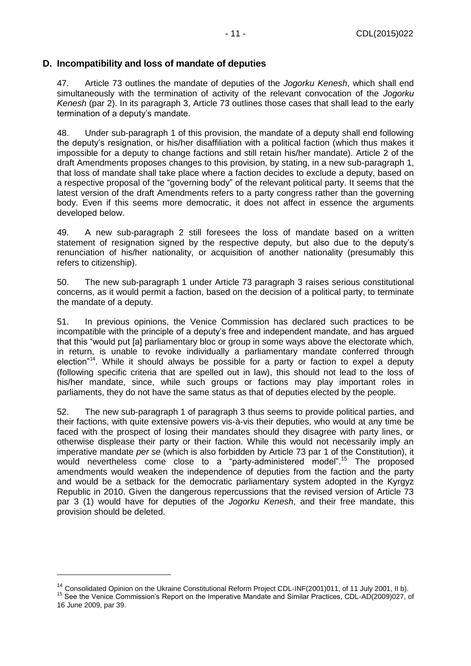#### <span id="page-10-0"></span>**D. Incompatibility and loss of mandate of deputies**

47. Article 73 outlines the mandate of deputies of the *Jogorku Kenesh*, which shall end simultaneously with the termination of activity of the relevant convocation of the *Jogorku Kenesh* (par 2). In its paragraph 3, Article 73 outlines those cases that shall lead to the early termination of a deputy's mandate.

48. Under sub-paragraph 1 of this provision, the mandate of a deputy shall end following the deputy's resignation, or his/her disaffiliation with a political faction (which thus makes it impossible for a deputy to change factions and still retain his/her mandate). Article 2 of the draft Amendments proposes changes to this provision, by stating, in a new sub-paragraph 1, that loss of mandate shall take place where a faction decides to exclude a deputy, based on a respective proposal of the "governing body" of the relevant political party. It seems that the latest version of the draft Amendments refers to a party congress rather than the governing body. Even if this seems more democratic, it does not affect in essence the arguments developed below.

49. A new sub-paragraph 2 still foresees the loss of mandate based on a written statement of resignation signed by the respective deputy, but also due to the deputy's renunciation of his/her nationality, or acquisition of another nationality (presumably this refers to citizenship).

50. The new sub-paragraph 1 under Article 73 paragraph 3 raises serious constitutional concerns, as it would permit a faction, based on the decision of a political party, to terminate the mandate of a deputy.

51. In previous opinions, the Venice Commission has declared such practices to be incompatible with the principle of a deputy's free and independent mandate, and has argued that this "would put [a] parliamentary bloc or group in some ways above the electorate which, in return, is unable to revoke individually a parliamentary mandate conferred through election"<sup>14</sup>. While it should always be possible for a party or faction to expel a deputy (following specific criteria that are spelled out in law), this should not lead to the loss of his/her mandate, since, while such groups or factions may play important roles in parliaments, they do not have the same status as that of deputies elected by the people.

52. The new sub-paragraph 1 of paragraph 3 thus seems to provide political parties, and their factions, with quite extensive powers vis-à-vis their deputies, who would at any time be faced with the prospect of losing their mandates should they disagree with party lines, or otherwise displease their party or their faction. While this would not necessarily imply an imperative mandate *per se* (which is also forbidden by Article 73 par 1 of the Constitution), it would nevertheless come close to a "party-administered model". <sup>15</sup> The proposed amendments would weaken the independence of deputies from the faction and the party and would be a setback for the democratic parliamentary system adopted in the Kyrgyz Republic in 2010. Given the dangerous repercussions that the revised version of Article 73 par 3 (1) would have for deputies of the *Jogorku Kenesh*, and their free mandate, this provision should be deleted.

<sup>&</sup>lt;sup>14</sup> Consolidated Opinion on the Ukraine Constitutional Reform Project CDL-INF(2001)011, of 11 July 2001, II b).

<sup>15</sup> See the Venice Commission's Report on the Imperative Mandate and Similar Practices, CDL-AD(2009)027, of 16 June 2009, par 39.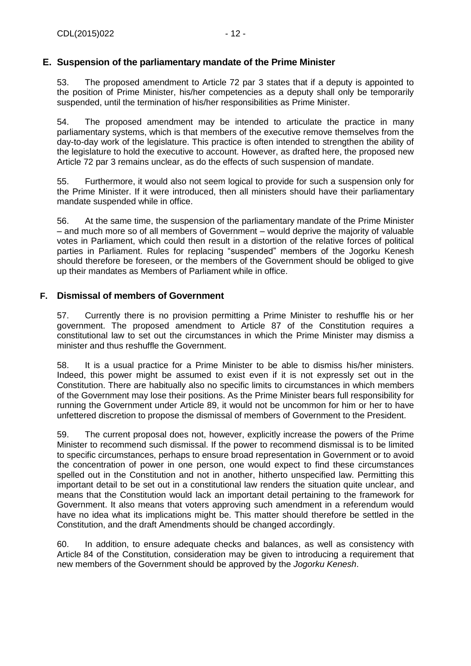## <span id="page-11-0"></span>**E. Suspension of the parliamentary mandate of the Prime Minister**

53. The proposed amendment to Article 72 par 3 states that if a deputy is appointed to the position of Prime Minister, his/her competencies as a deputy shall only be temporarily suspended, until the termination of his/her responsibilities as Prime Minister.

54. The proposed amendment may be intended to articulate the practice in many parliamentary systems, which is that members of the executive remove themselves from the day-to-day work of the legislature. This practice is often intended to strengthen the ability of the legislature to hold the executive to account. However, as drafted here, the proposed new Article 72 par 3 remains unclear, as do the effects of such suspension of mandate.

55. Furthermore, it would also not seem logical to provide for such a suspension only for the Prime Minister. If it were introduced, then all ministers should have their parliamentary mandate suspended while in office.

56. At the same time, the suspension of the parliamentary mandate of the Prime Minister – and much more so of all members of Government – would deprive the majority of valuable votes in Parliament, which could then result in a distortion of the relative forces of political parties in Parliament. Rules for replacing "suspended" members of the Jogorku Kenesh should therefore be foreseen, or the members of the Government should be obliged to give up their mandates as Members of Parliament while in office.

#### <span id="page-11-1"></span>**F. Dismissal of members of Government**

57. Currently there is no provision permitting a Prime Minister to reshuffle his or her government. The proposed amendment to Article 87 of the Constitution requires a constitutional law to set out the circumstances in which the Prime Minister may dismiss a minister and thus reshuffle the Government.

58. It is a usual practice for a Prime Minister to be able to dismiss his/her ministers. Indeed, this power might be assumed to exist even if it is not expressly set out in the Constitution. There are habitually also no specific limits to circumstances in which members of the Government may lose their positions. As the Prime Minister bears full responsibility for running the Government under Article 89, it would not be uncommon for him or her to have unfettered discretion to propose the dismissal of members of Government to the President.

59. The current proposal does not, however, explicitly increase the powers of the Prime Minister to recommend such dismissal. If the power to recommend dismissal is to be limited to specific circumstances, perhaps to ensure broad representation in Government or to avoid the concentration of power in one person, one would expect to find these circumstances spelled out in the Constitution and not in another, hitherto unspecified law. Permitting this important detail to be set out in a constitutional law renders the situation quite unclear, and means that the Constitution would lack an important detail pertaining to the framework for Government. It also means that voters approving such amendment in a referendum would have no idea what its implications might be. This matter should therefore be settled in the Constitution, and the draft Amendments should be changed accordingly.

60. In addition, to ensure adequate checks and balances, as well as consistency with Article 84 of the Constitution, consideration may be given to introducing a requirement that new members of the Government should be approved by the *Jogorku Kenesh*.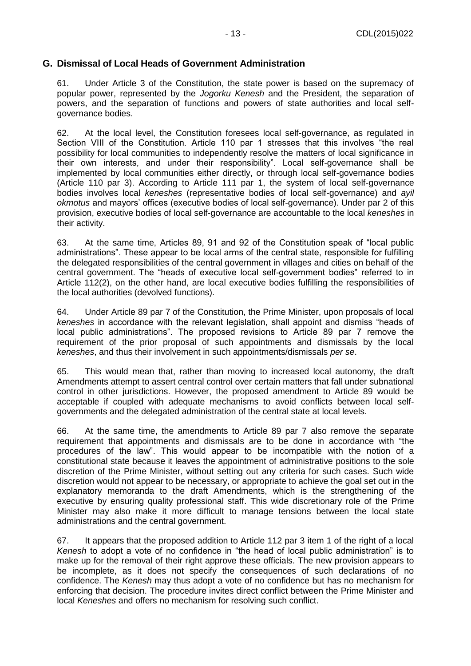#### <span id="page-12-0"></span>**G. Dismissal of Local Heads of Government Administration**

61. Under Article 3 of the Constitution, the state power is based on the supremacy of popular power, represented by the *Jogorku Kenesh* and the President, the separation of powers, and the separation of functions and powers of state authorities and local selfgovernance bodies.

62. At the local level, the Constitution foresees local self-governance, as regulated in Section VIII of the Constitution. Article 110 par 1 stresses that this involves "the real possibility for local communities to independently resolve the matters of local significance in their own interests, and under their responsibility". Local self-governance shall be implemented by local communities either directly, or through local self-governance bodies (Article 110 par 3). According to Article 111 par 1, the system of local self-governance bodies involves local *keneshes* (representative bodies of local self-governance) and *ayil okmotus* and mayors' offices (executive bodies of local self-governance). Under par 2 of this provision, executive bodies of local self-governance are accountable to the local *keneshes* in their activity.

63. At the same time, Articles 89, 91 and 92 of the Constitution speak of "local public administrations". These appear to be local arms of the central state, responsible for fulfilling the delegated responsibilities of the central government in villages and cities on behalf of the central government. The "heads of executive local self-government bodies" referred to in Article 112(2), on the other hand, are local executive bodies fulfilling the responsibilities of the local authorities (devolved functions).

64. Under Article 89 par 7 of the Constitution, the Prime Minister, upon proposals of local *keneshes* in accordance with the relevant legislation, shall appoint and dismiss "heads of local public administrations". The proposed revisions to Article 89 par 7 remove the requirement of the prior proposal of such appointments and dismissals by the local *keneshes*, and thus their involvement in such appointments/dismissals *per se*.

65. This would mean that, rather than moving to increased local autonomy, the draft Amendments attempt to assert central control over certain matters that fall under subnational control in other jurisdictions. However, the proposed amendment to Article 89 would be acceptable if coupled with adequate mechanisms to avoid conflicts between local selfgovernments and the delegated administration of the central state at local levels.

66. At the same time, the amendments to Article 89 par 7 also remove the separate requirement that appointments and dismissals are to be done in accordance with "the procedures of the law". This would appear to be incompatible with the notion of a constitutional state because it leaves the appointment of administrative positions to the sole discretion of the Prime Minister, without setting out any criteria for such cases. Such wide discretion would not appear to be necessary, or appropriate to achieve the goal set out in the explanatory memoranda to the draft Amendments, which is the strengthening of the executive by ensuring quality professional staff. This wide discretionary role of the Prime Minister may also make it more difficult to manage tensions between the local state administrations and the central government.

67. It appears that the proposed addition to Article 112 par 3 item 1 of the right of a local *Kenesh* to adopt a vote of no confidence in "the head of local public administration" is to make up for the removal of their right approve these officials. The new provision appears to be incomplete, as it does not specify the consequences of such declarations of no confidence. The *Kenesh* may thus adopt a vote of no confidence but has no mechanism for enforcing that decision. The procedure invites direct conflict between the Prime Minister and local *Keneshes* and offers no mechanism for resolving such conflict.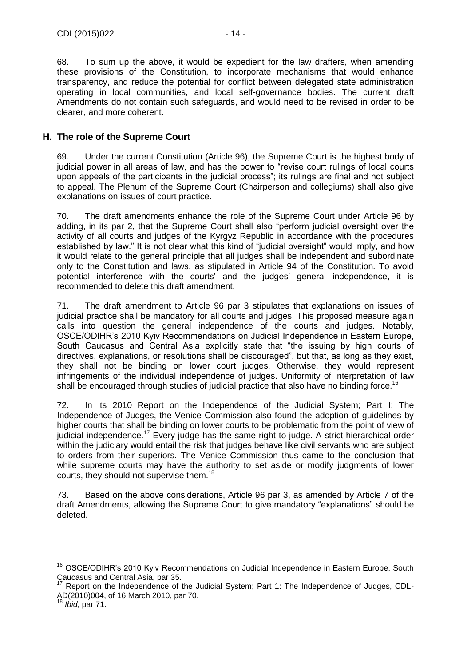68. To sum up the above, it would be expedient for the law drafters, when amending these provisions of the Constitution, to incorporate mechanisms that would enhance transparency, and reduce the potential for conflict between delegated state administration operating in local communities, and local self-governance bodies. The current draft Amendments do not contain such safeguards, and would need to be revised in order to be clearer, and more coherent.

## <span id="page-13-0"></span>**H. The role of the Supreme Court**

69. Under the current Constitution (Article 96), the Supreme Court is the highest body of judicial power in all areas of law, and has the power to "revise court rulings of local courts upon appeals of the participants in the judicial process"; its rulings are final and not subject to appeal. The Plenum of the Supreme Court (Chairperson and collegiums) shall also give explanations on issues of court practice.

70. The draft amendments enhance the role of the Supreme Court under Article 96 by adding, in its par 2, that the Supreme Court shall also "perform judicial oversight over the activity of all courts and judges of the Kyrgyz Republic in accordance with the procedures established by law." It is not clear what this kind of "judicial oversight" would imply, and how it would relate to the general principle that all judges shall be independent and subordinate only to the Constitution and laws, as stipulated in Article 94 of the Constitution. To avoid potential interference with the courts' and the judges' general independence, it is recommended to delete this draft amendment.

71. The draft amendment to Article 96 par 3 stipulates that explanations on issues of judicial practice shall be mandatory for all courts and judges. This proposed measure again calls into question the general independence of the courts and judges. Notably, OSCE/ODIHR's 2010 Kyiv Recommendations on Judicial Independence in Eastern Europe, South Caucasus and Central Asia explicitly state that "the issuing by high courts of directives, explanations, or resolutions shall be discouraged", but that, as long as they exist, they shall not be binding on lower court judges. Otherwise, they would represent infringements of the individual independence of judges. Uniformity of interpretation of law shall be encouraged through studies of judicial practice that also have no binding force.<sup>16</sup>

72. In its 2010 Report on the Independence of the Judicial System; Part I: The Independence of Judges, the Venice Commission also found the adoption of guidelines by higher courts that shall be binding on lower courts to be problematic from the point of view of judicial independence.<sup>17</sup> Every judge has the same right to judge. A strict hierarchical order within the judiciary would entail the risk that judges behave like civil servants who are subject to orders from their superiors. The Venice Commission thus came to the conclusion that while supreme courts may have the authority to set aside or modify judgments of lower courts, they should not supervise them.<sup>18</sup>

73. Based on the above considerations, Article 96 par 3, as amended by Article 7 of the draft Amendments, allowing the Supreme Court to give mandatory "explanations" should be deleted.

<sup>&</sup>lt;sup>16</sup> OSCE/ODIHR's 2010 Kyiv Recommendations on Judicial Independence in Eastern Europe, South Caucasus and Central Asia, par 35.

 $17$  Report on the Independence of the Judicial System; Part 1: The Independence of Judges, CDL-AD(2010)004, of 16 March 2010, par 70.

<sup>18</sup> *Ibid*, par 71.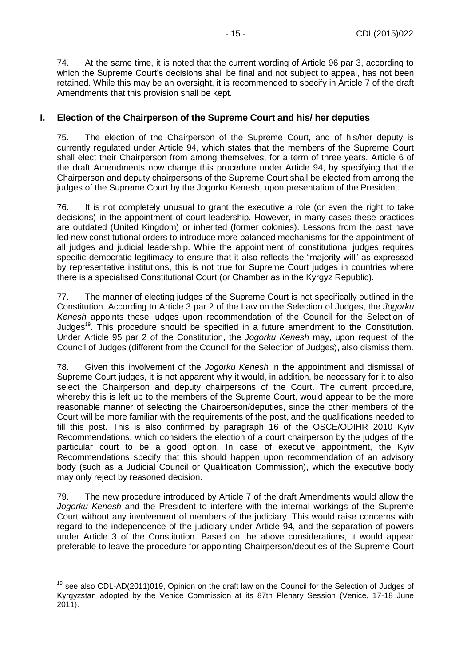74. At the same time, it is noted that the current wording of Article 96 par 3, according to which the Supreme Court's decisions shall be final and not subject to appeal, has not been retained. While this may be an oversight, it is recommended to specify in Article 7 of the draft Amendments that this provision shall be kept.

### <span id="page-14-0"></span>**I. Election of the Chairperson of the Supreme Court and his/ her deputies**

75. The election of the Chairperson of the Supreme Court, and of his/her deputy is currently regulated under Article 94, which states that the members of the Supreme Court shall elect their Chairperson from among themselves, for a term of three years. Article 6 of the draft Amendments now change this procedure under Article 94, by specifying that the Chairperson and deputy chairpersons of the Supreme Court shall be elected from among the iudges of the Supreme Court by the Jogorku Kenesh, upon presentation of the President.

76. It is not completely unusual to grant the executive a role (or even the right to take decisions) in the appointment of court leadership. However, in many cases these practices are outdated (United Kingdom) or inherited (former colonies). Lessons from the past have led new constitutional orders to introduce more balanced mechanisms for the appointment of all judges and judicial leadership. While the appointment of constitutional judges requires specific democratic legitimacy to ensure that it also reflects the "majority will" as expressed by representative institutions, this is not true for Supreme Court judges in countries where there is a specialised Constitutional Court (or Chamber as in the Kyrgyz Republic).

77. The manner of electing judges of the Supreme Court is not specifically outlined in the Constitution. According to Article 3 par 2 of the Law on the Selection of Judges, the *Jogorku Kenesh* appoints these judges upon recommendation of the Council for the Selection of Judges $^{19}$ . This procedure should be specified in a future amendment to the Constitution. Under Article 95 par 2 of the Constitution, the *Jogorku Kenesh* may, upon request of the Council of Judges (different from the Council for the Selection of Judges), also dismiss them.

78. Given this involvement of the *Jogorku Kenesh* in the appointment and dismissal of Supreme Court judges, it is not apparent why it would, in addition, be necessary for it to also select the Chairperson and deputy chairpersons of the Court. The current procedure, whereby this is left up to the members of the Supreme Court, would appear to be the more reasonable manner of selecting the Chairperson/deputies, since the other members of the Court will be more familiar with the requirements of the post, and the qualifications needed to fill this post. This is also confirmed by paragraph 16 of the OSCE/ODIHR 2010 Kyiv Recommendations, which considers the election of a court chairperson by the judges of the particular court to be a good option. In case of executive appointment, the Kyiv Recommendations specify that this should happen upon recommendation of an advisory body (such as a Judicial Council or Qualification Commission), which the executive body may only reject by reasoned decision.

79. The new procedure introduced by Article 7 of the draft Amendments would allow the *Jogorku Kenesh* and the President to interfere with the internal workings of the Supreme Court without any involvement of members of the judiciary. This would raise concerns with regard to the independence of the judiciary under Article 94, and the separation of powers under Article 3 of the Constitution. Based on the above considerations, it would appear preferable to leave the procedure for appointing Chairperson/deputies of the Supreme Court

<sup>&</sup>lt;sup>19</sup> see also CDL-AD(2011)019. Opinion on the draft law on the Council for the Selection of Judges of Kyrgyzstan adopted by the Venice Commission at its 87th Plenary Session (Venice, 17-18 June 2011).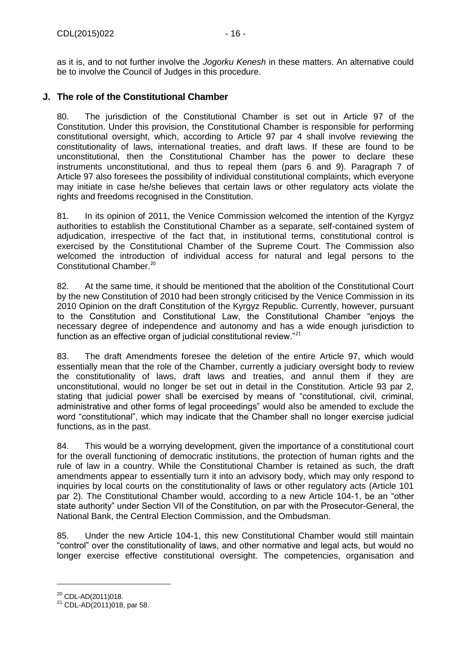as it is, and to not further involve the *Jogorku Kenesh* in these matters. An alternative could be to involve the Council of Judges in this procedure.

## <span id="page-15-0"></span>**J. The role of the Constitutional Chamber**

80. The jurisdiction of the Constitutional Chamber is set out in Article 97 of the Constitution. Under this provision, the Constitutional Chamber is responsible for performing constitutional oversight, which, according to Article 97 par 4 shall involve reviewing the constitutionality of laws, international treaties, and draft laws. If these are found to be unconstitutional, then the Constitutional Chamber has the power to declare these instruments unconstitutional, and thus to repeal them (pars 6 and 9). Paragraph 7 of Article 97 also foresees the possibility of individual constitutional complaints, which everyone may initiate in case he/she believes that certain laws or other regulatory acts violate the rights and freedoms recognised in the Constitution.

81. In its opinion of 2011, the Venice Commission welcomed the intention of the Kyrgyz authorities to establish the Constitutional Chamber as a separate, self-contained system of adjudication, irrespective of the fact that, in institutional terms, constitutional control is exercised by the Constitutional Chamber of the Supreme Court. The Commission also welcomed the introduction of individual access for natural and legal persons to the Constitutional Chamber.<sup>20</sup>

82. At the same time, it should be mentioned that the abolition of the Constitutional Court by the new Constitution of 2010 had been strongly criticised by the Venice Commission in its 2010 Opinion on the draft Constitution of the Kyrgyz Republic. Currently, however, pursuant to the Constitution and Constitutional Law, the Constitutional Chamber "enjoys the necessary degree of independence and autonomy and has a wide enough jurisdiction to function as an effective organ of judicial constitutional review."<sup>21</sup>

83. The draft Amendments foresee the deletion of the entire Article 97, which would essentially mean that the role of the Chamber, currently a judiciary oversight body to review the constitutionality of laws, draft laws and treaties, and annul them if they are unconstitutional, would no longer be set out in detail in the Constitution. Article 93 par 2, stating that judicial power shall be exercised by means of "constitutional, civil, criminal, administrative and other forms of legal proceedings" would also be amended to exclude the word "constitutional", which may indicate that the Chamber shall no longer exercise judicial functions, as in the past.

84. This would be a worrying development, given the importance of a constitutional court for the overall functioning of democratic institutions, the protection of human rights and the rule of law in a country. While the Constitutional Chamber is retained as such, the draft amendments appear to essentially turn it into an advisory body, which may only respond to inquiries by local courts on the constitutionality of laws or other regulatory acts (Article 101 par 2). The Constitutional Chamber would, according to a new Article 104-1, be an "other state authority" under Section VII of the Constitution, on par with the Prosecutor-General, the National Bank, the Central Election Commission, and the Ombudsman.

85. Under the new Article 104-1, this new Constitutional Chamber would still maintain "control" over the constitutionality of laws, and other normative and legal acts, but would no longer exercise effective constitutional oversight. The competencies, organisation and

 $\overline{a}$ 

<sup>20</sup> CDL-AD(2011)018.

<sup>&</sup>lt;sup>21</sup> CDL-AD(2011)018, par 58.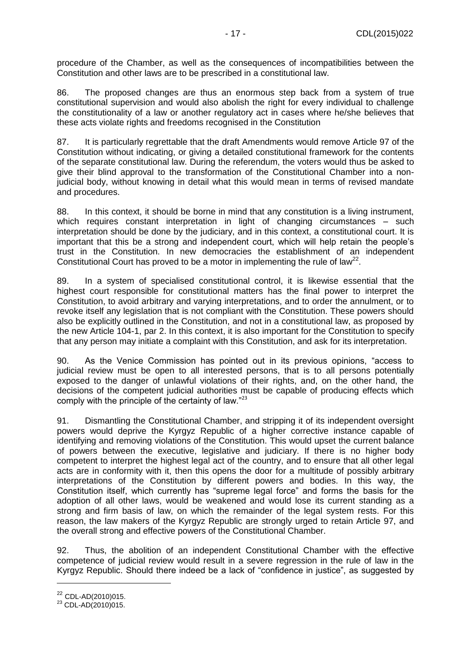procedure of the Chamber, as well as the consequences of incompatibilities between the Constitution and other laws are to be prescribed in a constitutional law.

86. The proposed changes are thus an enormous step back from a system of true constitutional supervision and would also abolish the right for every individual to challenge the constitutionality of a law or another regulatory act in cases where he/she believes that these acts violate rights and freedoms recognised in the Constitution

87. It is particularly regrettable that the draft Amendments would remove Article 97 of the Constitution without indicating, or giving a detailed constitutional framework for the contents of the separate constitutional law. During the referendum, the voters would thus be asked to give their blind approval to the transformation of the Constitutional Chamber into a nonjudicial body, without knowing in detail what this would mean in terms of revised mandate and procedures.

88. In this context, it should be borne in mind that any constitution is a living instrument, which requires constant interpretation in light of changing circumstances – such interpretation should be done by the judiciary, and in this context, a constitutional court. It is important that this be a strong and independent court, which will help retain the people's trust in the Constitution. In new democracies the establishment of an independent Constitutional Court has proved to be a motor in implementing the rule of law<sup>22</sup>.

89. In a system of specialised constitutional control, it is likewise essential that the highest court responsible for constitutional matters has the final power to interpret the Constitution, to avoid arbitrary and varying interpretations, and to order the annulment, or to revoke itself any legislation that is not compliant with the Constitution. These powers should also be explicitly outlined in the Constitution, and not in a constitutional law, as proposed by the new Article 104-1, par 2. In this context, it is also important for the Constitution to specify that any person may initiate a complaint with this Constitution, and ask for its interpretation.

90. As the Venice Commission has pointed out in its previous opinions, "access to judicial review must be open to all interested persons, that is to all persons potentially exposed to the danger of unlawful violations of their rights, and, on the other hand, the decisions of the competent judicial authorities must be capable of producing effects which comply with the principle of the certainty of law."<sup>23</sup>

91. Dismantling the Constitutional Chamber, and stripping it of its independent oversight powers would deprive the Kyrgyz Republic of a higher corrective instance capable of identifying and removing violations of the Constitution. This would upset the current balance of powers between the executive, legislative and judiciary. If there is no higher body competent to interpret the highest legal act of the country, and to ensure that all other legal acts are in conformity with it, then this opens the door for a multitude of possibly arbitrary interpretations of the Constitution by different powers and bodies. In this way, the Constitution itself, which currently has "supreme legal force" and forms the basis for the adoption of all other laws, would be weakened and would lose its current standing as a strong and firm basis of law, on which the remainder of the legal system rests. For this reason, the law makers of the Kyrgyz Republic are strongly urged to retain Article 97, and the overall strong and effective powers of the Constitutional Chamber.

92. Thus, the abolition of an independent Constitutional Chamber with the effective competence of judicial review would result in a severe regression in the rule of law in the Kyrgyz Republic. Should there indeed be a lack of "confidence in justice", as suggested by

<sup>22</sup> CDL-AD(2010)015.

 $23$  CDL-AD(2010)015.